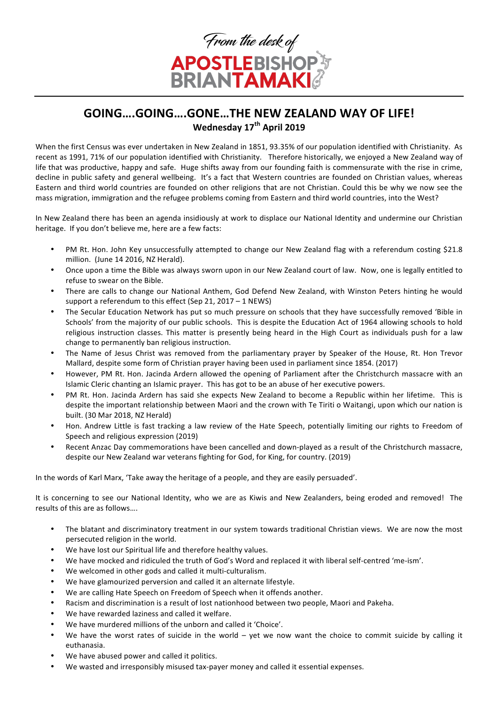

## **GOING....GOING....GONE...THE NEW ZEALAND WAY OF LIFE! Wednesday 17th April 2019**

When the first Census was ever undertaken in New Zealand in 1851, 93.35% of our population identified with Christianity. As recent as 1991, 71% of our population identified with Christianity. Therefore historically, we enjoyed a New Zealand way of life that was productive, happy and safe. Huge shifts away from our founding faith is commensurate with the rise in crime, decline in public safety and general wellbeing. It's a fact that Western countries are founded on Christian values, whereas Eastern and third world countries are founded on other religions that are not Christian. Could this be why we now see the mass migration, immigration and the refugee problems coming from Eastern and third world countries, into the West?

In New Zealand there has been an agenda insidiously at work to displace our National Identity and undermine our Christian heritage. If you don't believe me, here are a few facts:

- PM Rt. Hon. John Key unsuccessfully attempted to change our New Zealand flag with a referendum costing \$21.8 million. (June 14 2016, NZ Herald).
- Once upon a time the Bible was always sworn upon in our New Zealand court of law. Now, one is legally entitled to refuse to swear on the Bible.
- There are calls to change our National Anthem, God Defend New Zealand, with Winston Peters hinting he would support a referendum to this effect (Sep 21, 2017 – 1 NEWS)
- The Secular Education Network has put so much pressure on schools that they have successfully removed 'Bible in Schools' from the majority of our public schools. This is despite the Education Act of 1964 allowing schools to hold religious instruction classes. This matter is presently being heard in the High Court as individuals push for a law change to permanently ban religious instruction.
- The Name of Jesus Christ was removed from the parliamentary prayer by Speaker of the House, Rt. Hon Trevor Mallard, despite some form of Christian prayer having been used in parliament since 1854. (2017)
- However, PM Rt. Hon. Jacinda Ardern allowed the opening of Parliament after the Christchurch massacre with an Islamic Cleric chanting an Islamic prayer. This has got to be an abuse of her executive powers.
- PM Rt. Hon. Jacinda Ardern has said she expects New Zealand to become a Republic within her lifetime. This is despite the important relationship between Maori and the crown with Te Tiriti o Waitangi, upon which our nation is built. (30 Mar 2018, NZ Herald)
- Hon. Andrew Little is fast tracking a law review of the Hate Speech, potentially limiting our rights to Freedom of Speech and religious expression (2019)
- Recent Anzac Day commemorations have been cancelled and down-played as a result of the Christchurch massacre, despite our New Zealand war veterans fighting for God, for King, for country. (2019)

In the words of Karl Marx, 'Take away the heritage of a people, and they are easily persuaded'.

It is concerning to see our National Identity, who we are as Kiwis and New Zealanders, being eroded and removed! The results of this are as follows....

- The blatant and discriminatory treatment in our system towards traditional Christian views. We are now the most persecuted religion in the world.
- We have lost our Spiritual life and therefore healthy values.
- We have mocked and ridiculed the truth of God's Word and replaced it with liberal self-centred 'me-ism'.
- We welcomed in other gods and called it multi-culturalism.
- We have glamourized perversion and called it an alternate lifestyle.
- We are calling Hate Speech on Freedom of Speech when it offends another.
- Racism and discrimination is a result of lost nationhood between two people. Maori and Pakeha.
- We have rewarded laziness and called it welfare.
- We have murdered millions of the unborn and called it 'Choice'.
- We have the worst rates of suicide in the world  $-$  yet we now want the choice to commit suicide by calling it euthanasia.
- We have abused power and called it politics.
- We wasted and irresponsibly misused tax-payer money and called it essential expenses.